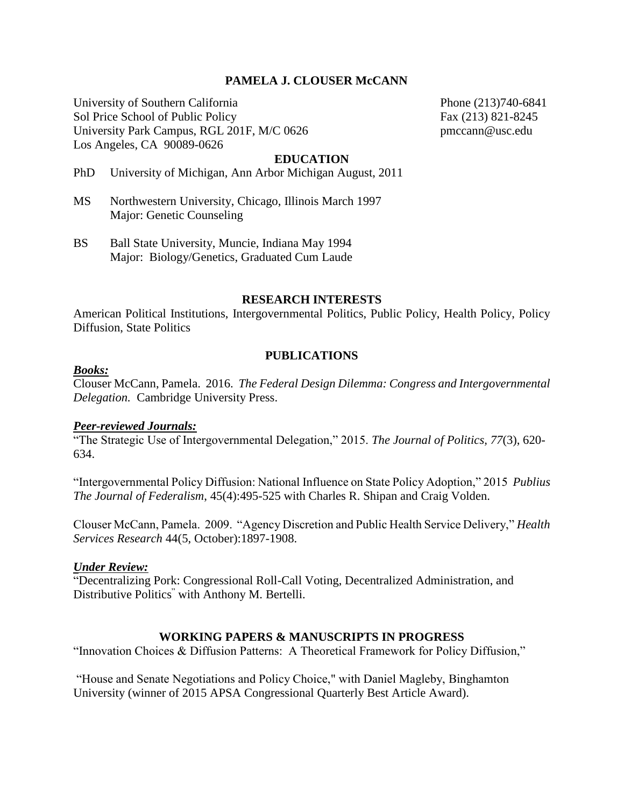# **PAMELA J. CLOUSER McCANN**

University of Southern California Phone (213)740-6841 Sol Price School of Public Policy Fax (213) 821-8245 University Park Campus, RGL 201F, M/C 0626 pmccann@usc.edu Los Angeles, CA 90089-0626

#### **EDUCATION**

PhD University of Michigan, Ann Arbor Michigan August, 2011

- MS Northwestern University, Chicago, Illinois March 1997 Major: Genetic Counseling
- BS Ball State University, Muncie, Indiana May 1994 Major: Biology/Genetics, Graduated Cum Laude

#### **RESEARCH INTERESTS**

American Political Institutions, Intergovernmental Politics, Public Policy, Health Policy, Policy Diffusion, State Politics

#### **PUBLICATIONS**

#### *Books:*

Clouser McCann, Pamela. 2016. *The Federal Design Dilemma: Congress and Intergovernmental Delegation.* Cambridge University Press.

# *Peer-reviewed Journals:*

"The Strategic Use of Intergovernmental Delegation," 2015. *The Journal of Politics, 77*(3), 620- 634.

"Intergovernmental Policy Diffusion: National Influence on State Policy Adoption," 2015 *Publius The Journal of Federalism*, 45(4):495-525 with Charles R. Shipan and Craig Volden.

Clouser McCann, Pamela. 2009. "Agency Discretion and Public Health Service Delivery," *Health Services Research* 44(5, October):1897-1908.

#### *Under Review:*

"Decentralizing Pork: Congressional Roll-Call Voting, Decentralized Administration, and Distributive Politics " with Anthony M. Bertelli.

#### **WORKING PAPERS & MANUSCRIPTS IN PROGRESS**

"Innovation Choices & Diffusion Patterns: A Theoretical Framework for Policy Diffusion,"

"House and Senate Negotiations and Policy Choice," with Daniel Magleby, Binghamton University (winner of 2015 APSA Congressional Quarterly Best Article Award).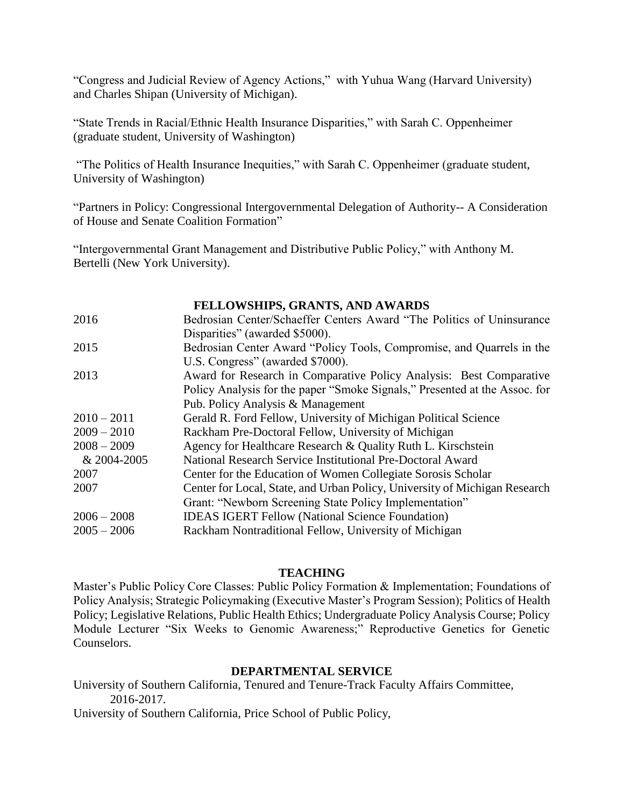"Congress and Judicial Review of Agency Actions," with Yuhua Wang (Harvard University) and Charles Shipan (University of Michigan).

"State Trends in Racial/Ethnic Health Insurance Disparities," with Sarah C. Oppenheimer (graduate student, University of Washington)

"The Politics of Health Insurance Inequities," with Sarah C. Oppenheimer (graduate student, University of Washington)

"Partners in Policy: Congressional Intergovernmental Delegation of Authority-- A Consideration of House and Senate Coalition Formation"

"Intergovernmental Grant Management and Distributive Public Policy," with Anthony M. Bertelli (New York University).

**FELLOWSHIPS, GRANTS, AND AWARDS** 2016 Bedrosian Center/Schaeffer Centers Award "The Politics of Uninsurance Disparities" (awarded \$5000). 2015 Bedrosian Center Award "Policy Tools, Compromise, and Quarrels in the U.S. Congress" (awarded \$7000). 2013 Award for Research in Comparative Policy Analysis: Best Comparative Policy Analysis for the paper "Smoke Signals," Presented at the Assoc. for Pub. Policy Analysis & Management 2010 – 2011 Gerald R. Ford Fellow, University of Michigan Political Science 2009 – 2010 Rackham Pre-Doctoral Fellow, University of Michigan 2008 – 2009 Agency for Healthcare Research & Quality Ruth L. Kirschstein & 2004-2005 National Research Service Institutional Pre-Doctoral Award 2007 Center for the Education of Women Collegiate Sorosis Scholar 2007 Center for Local, State, and Urban Policy, University of Michigan Research Grant: "Newborn Screening State Policy Implementation" 2006 – 2008 IDEAS IGERT Fellow (National Science Foundation) 2005 – 2006 Rackham Nontraditional Fellow, University of Michigan

# **TEACHING**

Master's Public Policy Core Classes: Public Policy Formation & Implementation; Foundations of Policy Analysis; Strategic Policymaking (Executive Master's Program Session); Politics of Health Policy; Legislative Relations, Public Health Ethics; Undergraduate Policy Analysis Course; Policy Module Lecturer "Six Weeks to Genomic Awareness;" Reproductive Genetics for Genetic Counselors.

# **DEPARTMENTAL SERVICE**

University of Southern California, Tenured and Tenure-Track Faculty Affairs Committee, 2016-2017.

University of Southern California, Price School of Public Policy,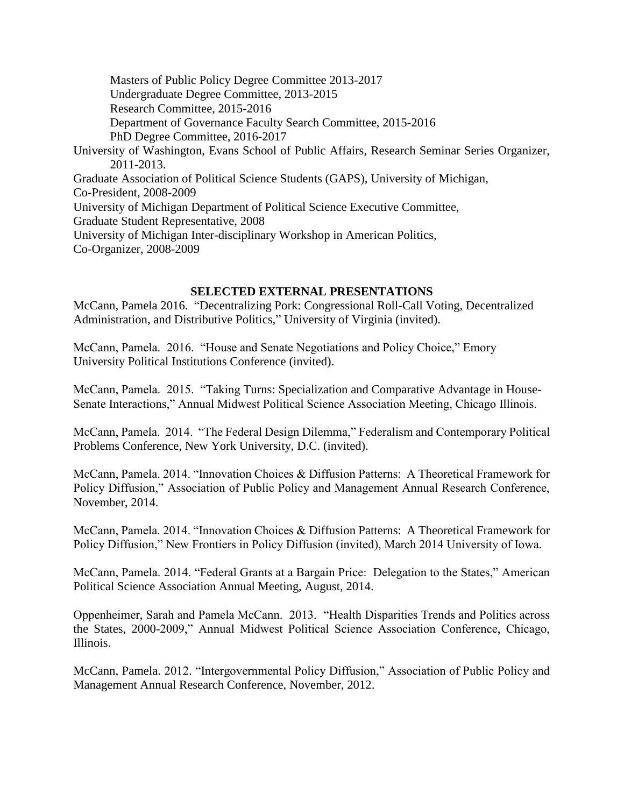Masters of Public Policy Degree Committee 2013-2017 Undergraduate Degree Committee, 2013-2015 Research Committee, 2015-2016 Department of Governance Faculty Search Committee, 2015-2016 PhD Degree Committee, 2016-2017 University of Washington, Evans School of Public Affairs, Research Seminar Series Organizer, 2011-2013. Graduate Association of Political Science Students (GAPS), University of Michigan, Co-President, 2008-2009 University of Michigan Department of Political Science Executive Committee, Graduate Student Representative, 2008 University of Michigan Inter-disciplinary Workshop in American Politics, Co-Organizer, 2008-2009

# **SELECTED EXTERNAL PRESENTATIONS**

McCann, Pamela 2016. "Decentralizing Pork: Congressional Roll-Call Voting, Decentralized Administration, and Distributive Politics," University of Virginia (invited).

McCann, Pamela. 2016. "House and Senate Negotiations and Policy Choice," Emory University Political Institutions Conference (invited).

McCann, Pamela. 2015. "Taking Turns: Specialization and Comparative Advantage in House-Senate Interactions," Annual Midwest Political Science Association Meeting, Chicago Illinois.

McCann, Pamela. 2014. "The Federal Design Dilemma," Federalism and Contemporary Political Problems Conference, New York University, D.C. (invited).

McCann, Pamela. 2014. "Innovation Choices & Diffusion Patterns: A Theoretical Framework for Policy Diffusion," Association of Public Policy and Management Annual Research Conference, November, 2014.

McCann, Pamela. 2014. "Innovation Choices & Diffusion Patterns: A Theoretical Framework for Policy Diffusion," New Frontiers in Policy Diffusion (invited), March 2014 University of Iowa.

McCann, Pamela. 2014. "Federal Grants at a Bargain Price: Delegation to the States," American Political Science Association Annual Meeting, August, 2014.

Oppenheimer, Sarah and Pamela McCann. 2013. "Health Disparities Trends and Politics across the States, 2000-2009," Annual Midwest Political Science Association Conference, Chicago, Illinois.

McCann, Pamela. 2012. "Intergovernmental Policy Diffusion," Association of Public Policy and Management Annual Research Conference, November, 2012.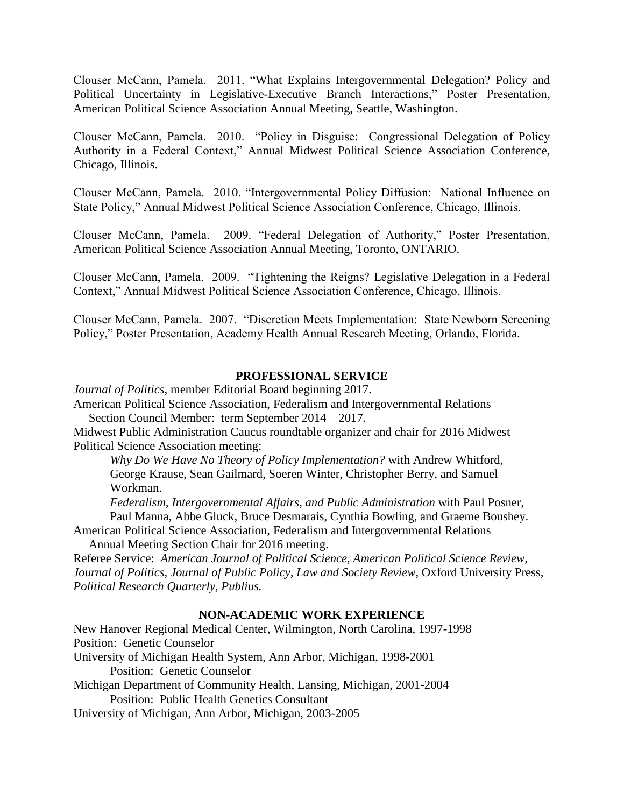Clouser McCann, Pamela. 2011. "What Explains Intergovernmental Delegation? Policy and Political Uncertainty in Legislative-Executive Branch Interactions," Poster Presentation, American Political Science Association Annual Meeting, Seattle, Washington.

Clouser McCann, Pamela. 2010. "Policy in Disguise: Congressional Delegation of Policy Authority in a Federal Context," Annual Midwest Political Science Association Conference, Chicago, Illinois.

Clouser McCann, Pamela. 2010. "Intergovernmental Policy Diffusion: National Influence on State Policy," Annual Midwest Political Science Association Conference, Chicago, Illinois.

Clouser McCann, Pamela. 2009. "Federal Delegation of Authority," Poster Presentation, American Political Science Association Annual Meeting, Toronto, ONTARIO.

Clouser McCann, Pamela. 2009. "Tightening the Reigns? Legislative Delegation in a Federal Context," Annual Midwest Political Science Association Conference, Chicago, Illinois.

Clouser McCann, Pamela. 2007. "Discretion Meets Implementation: State Newborn Screening Policy," Poster Presentation, Academy Health Annual Research Meeting, Orlando, Florida.

# **PROFESSIONAL SERVICE**

*Journal of Politics*, member Editorial Board beginning 2017.

American Political Science Association, Federalism and Intergovernmental Relations Section Council Member: term September 2014 – 2017.

Midwest Public Administration Caucus roundtable organizer and chair for 2016 Midwest Political Science Association meeting:

*Why Do We Have No Theory of Policy Implementation?* with Andrew Whitford, George Krause, Sean Gailmard, Soeren Winter, Christopher Berry, and Samuel Workman.

*Federalism, Intergovernmental Affairs, and Public Administration* with Paul Posner, Paul Manna, Abbe Gluck, Bruce Desmarais, Cynthia Bowling, and Graeme Boushey.

American Political Science Association, Federalism and Intergovernmental Relations Annual Meeting Section Chair for 2016 meeting.

Referee Service: *American Journal of Political Science, American Political Science Review, Journal of Politics, Journal of Public Policy, Law and Society Review,* Oxford University Press, *Political Research Quarterly, Publius.*

# **NON-ACADEMIC WORK EXPERIENCE**

New Hanover Regional Medical Center, Wilmington, North Carolina, 1997-1998 Position: Genetic Counselor University of Michigan Health System, Ann Arbor, Michigan, 1998-2001 Position: Genetic Counselor Michigan Department of Community Health, Lansing, Michigan, 2001-2004 Position: Public Health Genetics Consultant

University of Michigan, Ann Arbor, Michigan, 2003-2005